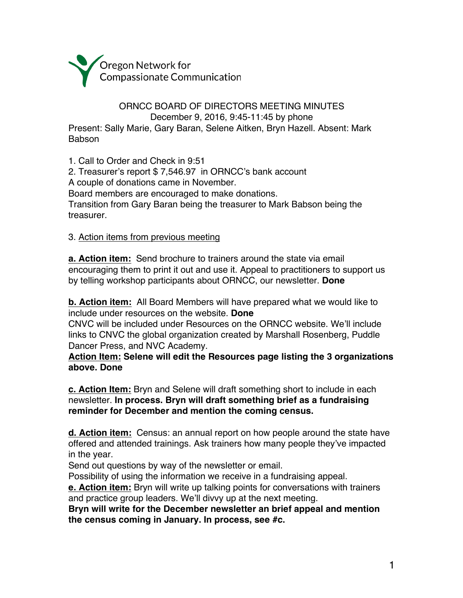

## ORNCC BOARD OF DIRECTORS MEETING MINUTES December 9, 2016, 9:45-11:45 by phone

Present: Sally Marie, Gary Baran, Selene Aitken, Bryn Hazell. Absent: Mark Babson

1. Call to Order and Check in 9:51

2. Treasurer's report \$ 7,546.97 in ORNCC's bank account

A couple of donations came in November.

Board members are encouraged to make donations.

Transition from Gary Baran being the treasurer to Mark Babson being the treasurer.

3. Action items from previous meeting

**a. Action item:** Send brochure to trainers around the state via email encouraging them to print it out and use it. Appeal to practitioners to support us by telling workshop participants about ORNCC, our newsletter. **Done**

**b. Action item:** All Board Members will have prepared what we would like to include under resources on the website. **Done**

CNVC will be included under Resources on the ORNCC website. We'll include links to CNVC the global organization created by Marshall Rosenberg, Puddle Dancer Press, and NVC Academy.

**Action Item: Selene will edit the Resources page listing the 3 organizations above. Done**

**c. Action Item:** Bryn and Selene will draft something short to include in each newsletter. **In process. Bryn will draft something brief as a fundraising reminder for December and mention the coming census.**

**d. Action item:** Census: an annual report on how people around the state have offered and attended trainings. Ask trainers how many people they've impacted in the year.

Send out questions by way of the newsletter or email.

Possibility of using the information we receive in a fundraising appeal.

**e. Action item:** Bryn will write up talking points for conversations with trainers and practice group leaders. We'll divvy up at the next meeting.

**Bryn will write for the December newsletter an brief appeal and mention the census coming in January. In process, see #c.**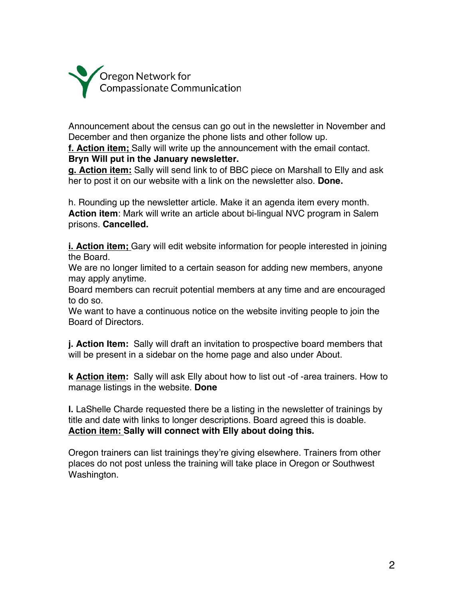

Announcement about the census can go out in the newsletter in November and December and then organize the phone lists and other follow up.

**f. Action item;** Sally will write up the announcement with the email contact. **Bryn Will put in the January newsletter.**

**g. Action item:** Sally will send link to of BBC piece on Marshall to Elly and ask her to post it on our website with a link on the newsletter also. **Done.**

h. Rounding up the newsletter article. Make it an agenda item every month. **Action item**: Mark will write an article about bi-lingual NVC program in Salem prisons. **Cancelled.**

**i. Action item;** Gary will edit website information for people interested in joining the Board.

We are no longer limited to a certain season for adding new members, anyone may apply anytime.

Board members can recruit potential members at any time and are encouraged to do so.

We want to have a continuous notice on the website inviting people to join the Board of Directors.

**j. Action Item:** Sally will draft an invitation to prospective board members that will be present in a sidebar on the home page and also under About.

**k Action item:** Sally will ask Elly about how to list out -of -area trainers. How to manage listings in the website. **Done**

**l.** LaShelle Charde requested there be a listing in the newsletter of trainings by title and date with links to longer descriptions. Board agreed this is doable. **Action item: Sally will connect with Elly about doing this.**

Oregon trainers can list trainings they're giving elsewhere. Trainers from other places do not post unless the training will take place in Oregon or Southwest Washington.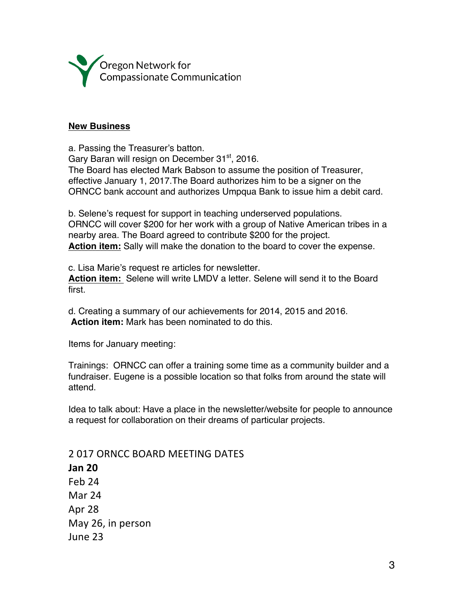

## **New Business**

a. Passing the Treasurer's batton. Gary Baran will resign on December 31<sup>st</sup>, 2016. The Board has elected Mark Babson to assume the position of Treasurer, effective January 1, 2017.The Board authorizes him to be a signer on the ORNCC bank account and authorizes Umpqua Bank to issue him a debit card.

b. Selene's request for support in teaching underserved populations. ORNCC will cover \$200 for her work with a group of Native American tribes in a nearby area. The Board agreed to contribute \$200 for the project. **Action item:** Sally will make the donation to the board to cover the expense.

c. Lisa Marie's request re articles for newsletter. **Action item:** Selene will write LMDV a letter. Selene will send it to the Board first.

d. Creating a summary of our achievements for 2014, 2015 and 2016. **Action item:** Mark has been nominated to do this.

Items for January meeting:

Trainings: ORNCC can offer a training some time as a community builder and a fundraiser. Eugene is a possible location so that folks from around the state will attend.

Idea to talk about: Have a place in the newsletter/website for people to announce a request for collaboration on their dreams of particular projects.

2 017 ORNCC BOARD MEETING DATES **Jan 20** Feb 24 Mar 24 Apr 28 May 26, in person June 23